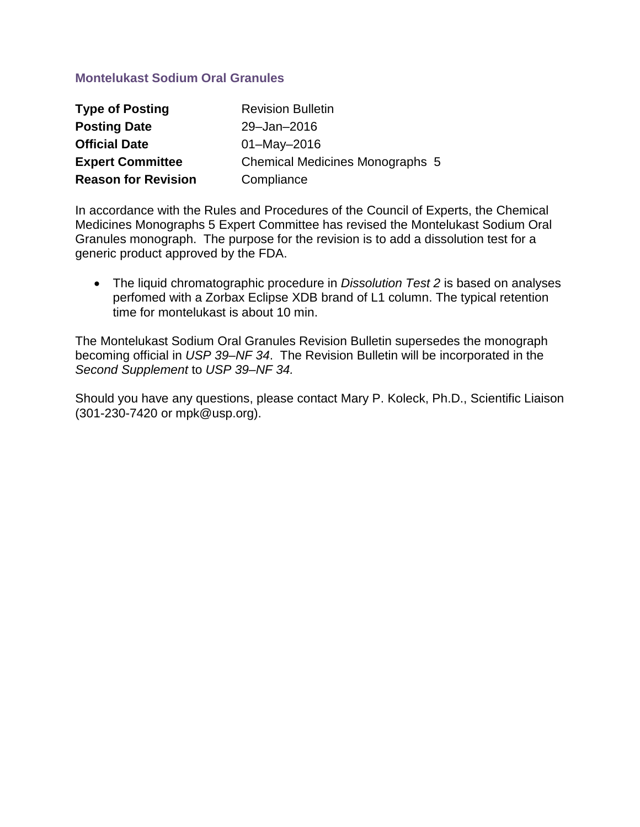# **Montelukast Sodium Oral Granules**

| <b>Type of Posting</b>     | <b>Revision Bulletin</b>               |
|----------------------------|----------------------------------------|
| <b>Posting Date</b>        | 29-Jan-2016                            |
| <b>Official Date</b>       | $01 - May - 2016$                      |
| <b>Expert Committee</b>    | <b>Chemical Medicines Monographs 5</b> |
| <b>Reason for Revision</b> | Compliance                             |

In accordance with the Rules and Procedures of the Council of Experts, the Chemical Medicines Monographs 5 Expert Committee has revised the Montelukast Sodium Oral Granules monograph. The purpose for the revision is to add a dissolution test for a generic product approved by the FDA.

• The liquid chromatographic procedure in *Dissolution Test 2* is based on analyses perfomed with a Zorbax Eclipse XDB brand of L1 column. The typical retention time for montelukast is about 10 min.

The Montelukast Sodium Oral Granules Revision Bulletin supersedes the monograph becoming official in *USP 39–NF 34*. The Revision Bulletin will be incorporated in the *Second Supplement* to *USP 39–NF 34.*

Should you have any questions, please contact Mary P. Koleck, Ph.D., Scientific Liaison (301-230-7420 or mpk@usp.org).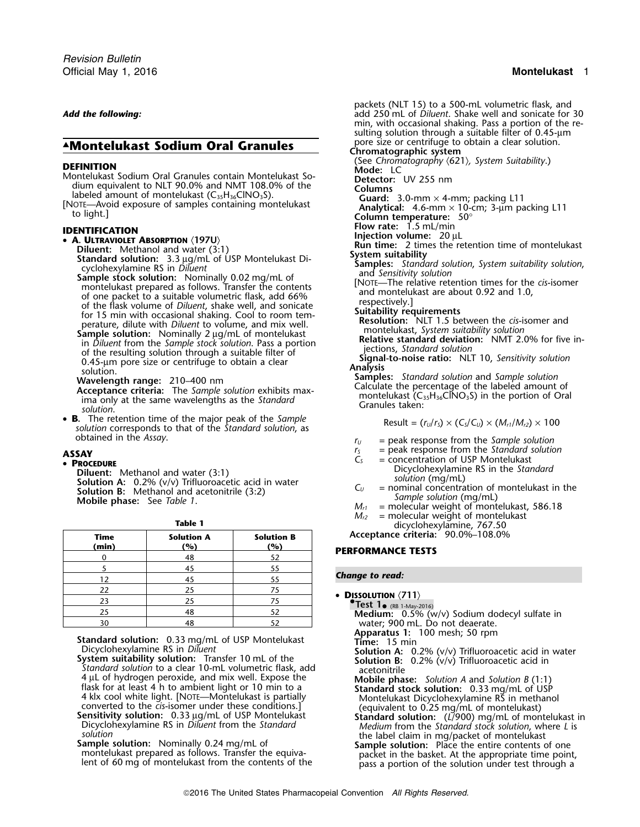# **AMontelukast Sodium Oral Granules**

- 
- 

• B. The retention time of the major peak of the Sample **S.** The recention time of the frigon peak of the *Sumple*<br>
solution corresponds to that of the *Standard solution*, as<br>
obtained in the *Assay*.

**Diluent:** Methanol and water (3:1)<br> **Solution A:** 0.2% (v/v) Trifluoroacetic acid in water<br> **Solution B:** Methanol and acetonitrile (3:2)<br> **Solution (mg/mL)**<br> **Solution 6:** Mobile phase: See Table 1.<br>
Mobile phase: See T

| <b>Time</b><br>(min) | <b>Solution A</b><br><u>'%)</u> | <b>Solution B</b><br>(%) |  |
|----------------------|---------------------------------|--------------------------|--|
|                      | 48                              | 52                       |  |
|                      | 45                              | 55                       |  |
| 12                   | 45                              | 55                       |  |
| 22                   | 25                              | 75                       |  |
| 23                   | 25                              | 75                       |  |
| 25                   | 48                              | 52                       |  |
| 20                   | $\overline{A}$                  | 5つ                       |  |

**Apparatus 1:** 100 **Apparatus 1:** 100 **Montelukast Time:** 15 min<br>Dicyclohexylamine RS in *Diluent* **Time:** 15 min **Solution A:** 0.

- **System suitability solution:** Transfer 10 mL of the **Solution B:** 0.2% (v/v) Trifluoroacetic acid in *Standard solution* to a clear 10-mL volumetric flask, add<br>4 µL of hydrogen peroxide, and mix well. Expose the **and Mobile phate**
- 
- **Sample solution:** Nominally 0.24 mg/mL of **Sample solution:** Place the entire contents of one montelukast prepared as follows. Transfer the equiva-<br>packet in the basket. At the appropriate time point,

packets (NLT 15) to a 500-mL volumetric flask, and *Add the following:* add 250 mL of *Diluent*. Shake well and sonicate for 30 min, with occasional shaking. Pass a portion of the re sulting solution through a suitable filter of 0.45-um pore size or centrifuge to obtain a clear solution.<br>Chromatographic system **DEFINITION**<br>
Montelukast Sodium Oral Granules contain Montelukast So-<br>
Montelukast Sodium equivalent to NLT 90.0% and NMT 108.0% of the<br>
labeled amount of montelukast (C<sub>35</sub>H<sub>36</sub>ClNO<sub>3</sub>S).<br>
[NOTE—Avoid exposure of samples **FLOENTIFICATION**<br> **Flow rate:** 1.5 mL/min<br> **Flow rate:** 1.5 mL/min<br> **Injection volume:** 20 µL<br> **Injection volume:** 20 µL<br> **INJING THE 2** times the retention time of montelukast Diluent: Methanol and water (3:1)<br>
Standard solution: 3.3 µg/mL of USP Montelukast Di-<br>
cyclohexylamine RS in Diluent<br>
Samples: Standard solution, System suitability<br>
samples: Standard solution, System suitability solution montelukast prepared as follows. Transfer the contents<br>of one packet to a suitable volumetric flask, add 66%<br>of the flask volume of *Diluent*, shake well, and sonicate<br>for 15 min with occasional shaking. Cool to room tem-<br> solution.<br> **Wavelength range:** 210–400 nm<br> **Acceptance criteria:** The *Sample solution* exhibits max-<br>
ima only at the same wavelengths as the *Standard*<br>
solution.<br>
Samples: Standard Calculate the percentage of the label

- 
- $r_U$  = peak response from the *Sample solution*
- 
- **ASSAY**<br> **PROCEDURE**<br> **PROCEDURE**<br> **PROCEDURE**<br> **PROCEDURE**<br> **C**<sub>S</sub>  $C_s$   $=$  concentration of USP Montelukast<br>
Dicyclohexylamine RS in the *Standard* 
	-
	- $M_{r1}$  = molecular weight of montelukast, 586.18
	- **Table 1 Table 1 M**<sub>*r2*</sub> = molecular weight of montelukast dicyclohexylamine, 767.50

**Time Solution A Solution B Acceptance criteria:** 90.0%–108.0%

# **(min) (%) (%) PERFORMANCE TESTS**

### **Change to read:**

•

**DISSOLUTION**  $\langle 711 \rangle$ **.Test 1**• (RB 1-May-2016) <sup>25</sup> <sup>48</sup> <sup>52</sup> **Medium:** 0.5% (w/v) Sodium dodecyl sulfate in water; 900 mL. Do not deaerate.<br>**Apparatus 1:** 100 mesh; 50 rpm Dicyclohexylamine RS in *Diluent* **Solution A:** 0.2% (v/v) Trifluoroacetic acid in water 4 µL of hydrogen peroxide, and mix well. Expose the<br>
flask for at least 4 h to ambient light or 10 min to a<br>
4 kk cool white light. [NOTE—Montelukast is partially<br>
4 kk cool white light. [NOTE—Montelukast bick]<br>
4 kk cool

lent of 60 mg of montelukast from the contents of the pass a portion of the solution under test through a pass a portion of the solution under test through a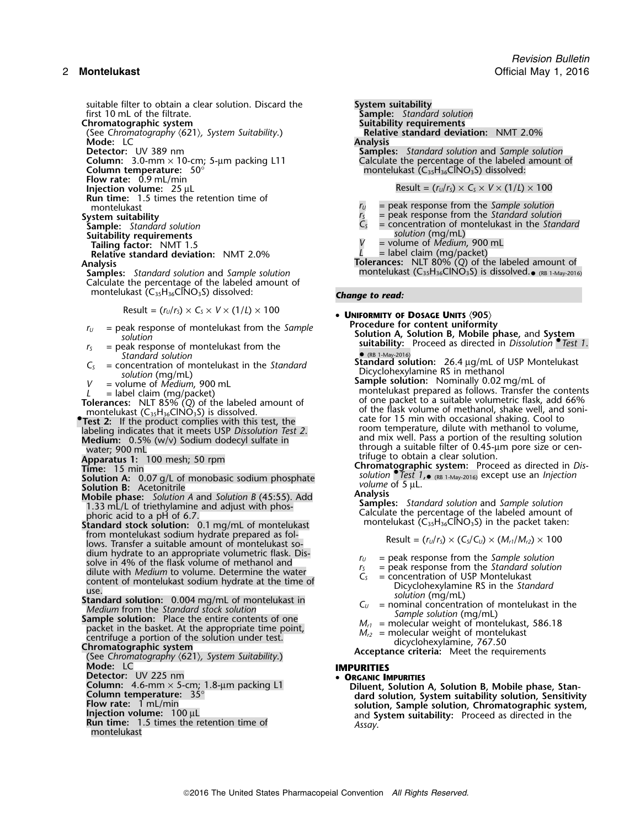suitable filter to obtain a clear solution. Discard the **System suitability**<br>**first 10 mL** of the filtrate. **Sample:** Standar first 10 mL of the filtrate. **Sample:** *Standard solution*

(See *Chromatography*  $\langle 621 \rangle$ , *System Suitability*.) **Relation:** Relation: Relation: Relation: 2.0% **Mode:** LC<br>**Detector:** UV 389 nm

**Column:** 3.0-mm × 10-cm; 5-µm packing L11<br>**Column temperature:** 50°

**Flow rate:** 0.9 mL/min

**Run time:** 1.5 times the retention time of

**Sample:** *Standard solution*<br> **Suitability requirements**<br> **Suitability requirements**<br> **Tailing factor:** NMT 1.5

**Relative standard deviation: NMT 2.0%** 

**Samples:** Standard solution and *Sample solution* montelukast (C<sub>35</sub>H<sub>36</sub>ClNO<sub>3</sub>S) is dissolved.<sub>• (RB 1-May-2016)</sub> Calculate the percentage of the labeled amount of montelukast (C<sub>35</sub>H<sub>36</sub>ClNO<sub>3</sub>S) dissolved: **Change to read:** 

$$
Result = (rU/rS) \times CS \times V \times (1/L) \times 100
$$

- $r_U$  = peak response of montelukast from the *Sample*
- *Standard solution*
- 
- 

**Test 2:** If the product complies with this test, the

**Medium:** 0.5% (w/v) Sodium dodecyl sulfate in water; 900 mL

- 
- 

from montelukast sodium hydrate prepared as fol-<br>lows. Transfer a suitable amount of montelukast sodium hydrate to an appropriate volumetric flask. Dis-<br>solve in 4% of the flask volume of methanol and<br>dilute with *Medium* to volume. Determine the water<br>content of montelukast sodium hydrate at the time of<br>use.<br> $C_s$  = co

**Standard solution:** 0.004 mg/mL of montelukast in<br> *Medium* from the *Standard stock solution*<br> **Sample solution:** Place the entire contents of one<br>
packet in the basket. At the appropriate time point,<br>
emple solution (m

Detector: UV 225 nm

- 
- 
- 
- 
- **Run time:** 1.5 times the retention time of montelukast.

**Suitability requirements<br>Relative standard deviation: NMT 2.0% Samples:** *Standard solution* and *Sample solution* Calculate the percentage of the labeled amount of montelukast (C<sub>35</sub>H<sub>36</sub>ClNO<sub>3</sub>S) dissolved: **Injection volume:**  $25 \text{ }\mu\text{L}$  **Result =**  $(r_U/r_S) \times C_S \times V \times (1/L) \times 100$ montelukast *r*<sup>*U*</sup> = peak response from the *Sample solution* 

- System suitability<br>
Sample: Standard solution<br>
Sample: Standard solution<br>
Sample: Standard solution **Sample:** *Standard solution <sup>C</sup><sup>S</sup>* = concentration of montelukast in the *Standard*
	- $=$  volume of *Medium*, 900 mL
	-

**Analysis Tolerances:** NLT 80% (*Q*) of the labeled amount of

**UNIFORMITY OF DOSAGE UNITS**  $\langle 905 \rangle$ <br>Procedure for content uniformity

- *solution* **Solution A, Solution B, Mobile phase,** and **System**  $r_5$  = peak response of montelukast from the **suitability:** Proceed as directed in *Dissolution* • *Test 1*. *Standard solution* **1.** *Standard solution* **1.** *Standard solution* **1.** *Standard solution* **1.** *Standard s* 
	-
- $C_5$  = concentration of montelukast in the Standard<br>
solution: 26.4 µg/mL of USP Montelukast<br>
solution (mg/mL)<br>
v = volume of *Medium*, 900 mL<br>
l = label claim (mg/packet)<br>
olerances: NIT 85% (O) of the labeled amount of **Tolerances:** NLT 85% (*Q*) of the labeled amount of of one packet to a suitable volumetric flask, add 66% montelukast (C of the flask volume of methanol, shake well, and soni- <sup>35</sup>H36ClNO3S) is dissolved. **•Test 2:** If the product complies with this test, the room temperature, dilute with methanol to volume, labeling indicates that it meets USP *Dissolution Test 2*.<br> **Medium:** 0.5% (w/y) Solium doderyl sulfate in and mix wel with through a suitable filter of 0.45-um pore size or cen-<br>water; 900 mL<br>Apparatus 1: 100 mesh; 50 rpm example a suitable filter of 0.45-um pore size or cen-<br>Chapparatus 1: 100 mesh; 50 rpm

**Apparatus 1:** trifuge to obtain a clear solution. 100 mesh; 50 rpm **Chromatographic system:** Proceed as directed in *Dis-* **Time:** 15 min *solution* •.*Test 1*, • (RB 1-May-2016) except use an *Injection* **Solution A:** 0.07 g/L of monobasic sodium phosphate *volume* of 5 <sup>µ</sup>L. **Solution B:** Acetonitrile

**Solution B:** Acetonitrile<br> **Mobile phase:** Solution A and Solution B (45:55). Add<br>
1.33 mL/L of triethylamine and adjust with phos-<br> **Samples:** Standard solution and Sample solution<br>
phoric acid to a pH of 6.7.<br> **Standar** 

$$
Result = (rU/rS) \times (CS/CU) \times (Mr1/Mr2) \times 100
$$

- 
- 
- 
- 
- 
- 

## **IMPURITIES**

### **ORGANIC IMPURITIES**

Column:  $4.6\text{-}mm \times 5\text{-}cm$ ; 1.8-µm packing L1<br>
Column temperature:  $35^\circ$ <br>
Flow rate: 1 mL/min<br>
Injection volume:  $100 \mu L$ <br>
Run time: 1.5 times the retention time of the state of the state of the state of the state of th